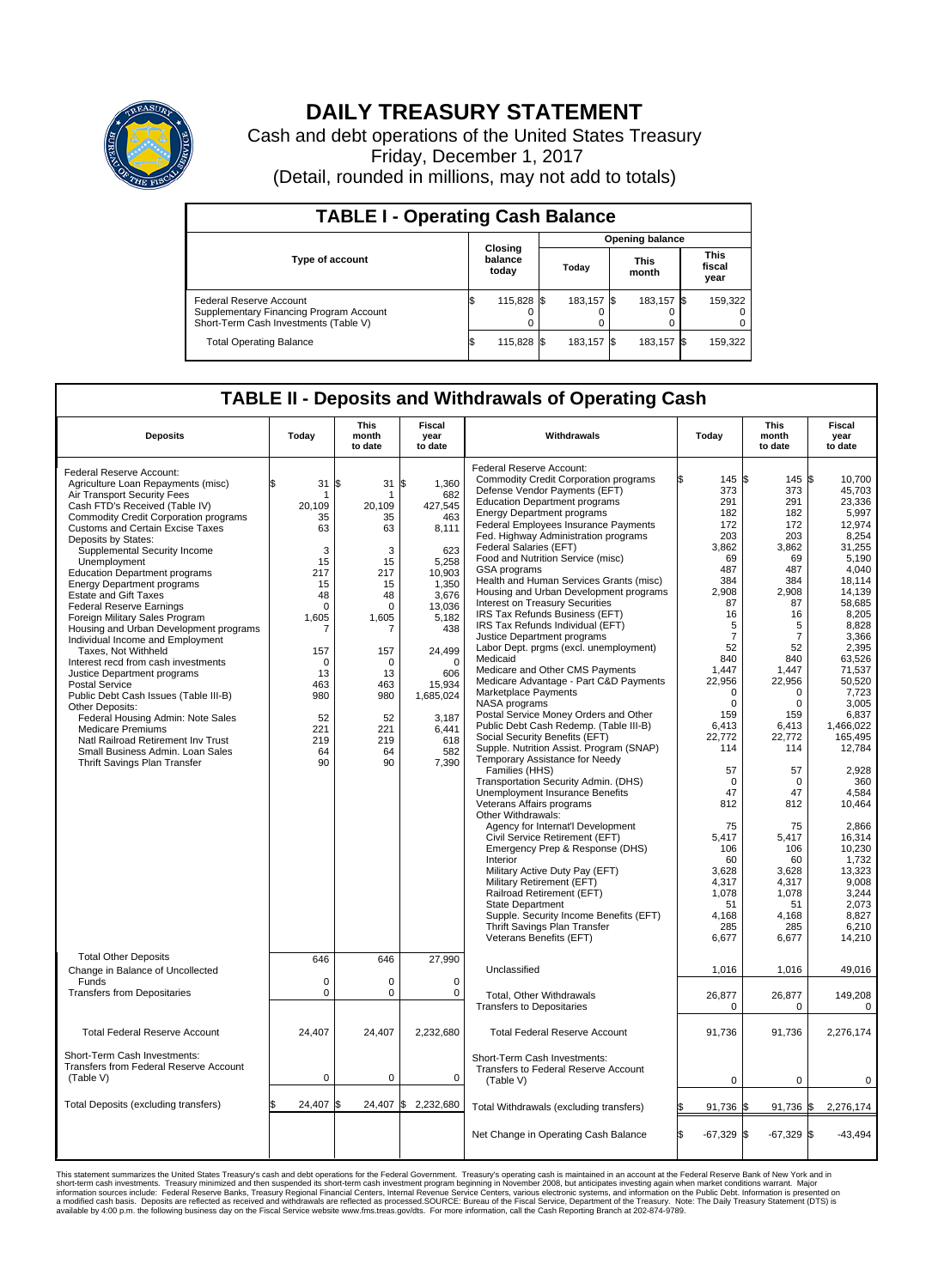

## **DAILY TREASURY STATEMENT**

Cash and debt operations of the United States Treasury Friday, December 1, 2017 (Detail, rounded in millions, may not add to totals)

| <b>TABLE I - Operating Cash Balance</b>                                                                     |     |                             |  |                        |  |                      |  |                               |  |  |  |
|-------------------------------------------------------------------------------------------------------------|-----|-----------------------------|--|------------------------|--|----------------------|--|-------------------------------|--|--|--|
|                                                                                                             |     |                             |  | <b>Opening balance</b> |  |                      |  |                               |  |  |  |
| <b>Type of account</b>                                                                                      |     | Closing<br>balance<br>today |  | Today                  |  | <b>This</b><br>month |  | <b>This</b><br>fiscal<br>year |  |  |  |
| Federal Reserve Account<br>Supplementary Financing Program Account<br>Short-Term Cash Investments (Table V) |     | 115,828 \$                  |  | 183.157 \$             |  | 183.157 \$           |  | 159,322                       |  |  |  |
| <b>Total Operating Balance</b>                                                                              | I\$ | 115,828 \$                  |  | 183,157 \$             |  | 183,157 \$           |  | 159,322                       |  |  |  |

## **TABLE II - Deposits and Withdrawals of Operating Cash**

| <b>Deposits</b>                              | Today       | <b>This</b><br>month<br>to date | <b>Fiscal</b><br>year<br>to date | Withdrawals                                  | Today               | <b>This</b><br>month<br>to date | <b>Fiscal</b><br>year<br>to date |  |
|----------------------------------------------|-------------|---------------------------------|----------------------------------|----------------------------------------------|---------------------|---------------------------------|----------------------------------|--|
|                                              |             |                                 |                                  | Federal Reserve Account:                     |                     |                                 |                                  |  |
| Federal Reserve Account:                     |             |                                 |                                  | <b>Commodity Credit Corporation programs</b> | 145 \$              | $145 \text{ }$ \$               | 10,700                           |  |
| Agriculture Loan Repayments (misc)           | \$<br>31    | \$<br>31                        | 1,360<br>ß.                      | Defense Vendor Payments (EFT)                | 373                 | 373                             | 45,703                           |  |
| Air Transport Security Fees                  | -1          | 1                               | 682                              | <b>Education Department programs</b>         | 291                 | 291                             |                                  |  |
| Cash FTD's Received (Table IV)               | 20,109      | 20,109                          | 427,545                          |                                              |                     |                                 | 23,336                           |  |
| <b>Commodity Credit Corporation programs</b> | 35          | 35                              | 463                              | <b>Energy Department programs</b>            | 182                 | 182                             | 5,997                            |  |
| Customs and Certain Excise Taxes             | 63          | 63                              | 8,111                            | <b>Federal Employees Insurance Payments</b>  | 172                 | 172                             | 12.974                           |  |
| Deposits by States:                          |             |                                 |                                  | Fed. Highway Administration programs         | 203                 | 203                             | 8,254                            |  |
| Supplemental Security Income                 | 3           | 3                               | 623                              | Federal Salaries (EFT)                       | 3.862               | 3,862                           | 31.255                           |  |
| Unemployment                                 | 15          | 15                              | 5,258                            | Food and Nutrition Service (misc)            | 69                  | 69                              | 5,190                            |  |
| <b>Education Department programs</b>         | 217         | 217                             | 10,903                           | <b>GSA</b> programs                          | 487                 | 487                             | 4.040                            |  |
| <b>Energy Department programs</b>            | 15          | 15                              | 1,350                            | Health and Human Services Grants (misc)      | 384                 | 384                             | 18,114                           |  |
|                                              |             |                                 |                                  | Housing and Urban Development programs       | 2.908               | 2.908                           | 14.139                           |  |
| <b>Estate and Gift Taxes</b>                 | 48          | 48                              | 3,676                            | <b>Interest on Treasury Securities</b>       | 87                  | 87                              | 58,685                           |  |
| <b>Federal Reserve Earnings</b>              | $\Omega$    | $\Omega$                        | 13.036                           | IRS Tax Refunds Business (EFT)               | 16                  | 16                              | 8,205                            |  |
| Foreign Military Sales Program               | 1,605       | 1,605                           | 5,182                            | IRS Tax Refunds Individual (EFT)             | 5                   | 5                               | 8,828                            |  |
| Housing and Urban Development programs       | 7           | 7                               | 438                              |                                              |                     |                                 |                                  |  |
| Individual Income and Employment             |             |                                 |                                  | Justice Department programs                  | $\overline{7}$      | $\overline{7}$                  | 3,366                            |  |
| Taxes, Not Withheld                          | 157         | 157                             | 24,499                           | Labor Dept. prgms (excl. unemployment)       | 52                  | 52                              | 2,395                            |  |
| Interest recd from cash investments          | $\Omega$    | $\Omega$                        | $\Omega$                         | Medicaid                                     | 840                 | 840                             | 63,526                           |  |
| Justice Department programs                  | 13          | 13                              | 606                              | Medicare and Other CMS Payments              | 1.447               | 1.447                           | 71,537                           |  |
| <b>Postal Service</b>                        | 463         | 463                             | 15,934                           | Medicare Advantage - Part C&D Payments       | 22,956              | 22,956                          | 50,520                           |  |
| Public Debt Cash Issues (Table III-B)        | 980         | 980                             | 1,685,024                        | Marketplace Payments                         | $\Omega$            | $\Omega$                        | 7,723                            |  |
|                                              |             |                                 |                                  | NASA programs                                | $\mathbf 0$         | $\mathbf 0$                     | 3,005                            |  |
| Other Deposits:                              |             |                                 |                                  | Postal Service Money Orders and Other        | 159                 | 159                             | 6,837                            |  |
| Federal Housing Admin: Note Sales            | 52          | 52                              | 3,187                            | Public Debt Cash Redemp. (Table III-B)       | 6,413               | 6,413                           | 1.466.022                        |  |
| <b>Medicare Premiums</b>                     | 221         | 221                             | 6.441                            | Social Security Benefits (EFT)               | 22.772              | 22.772                          | 165.495                          |  |
| Natl Railroad Retirement Inv Trust           | 219         | 219                             | 618                              |                                              |                     |                                 |                                  |  |
| Small Business Admin, Loan Sales             | 64          | 64                              | 582                              | Supple. Nutrition Assist. Program (SNAP)     | 114                 | 114                             | 12,784                           |  |
| Thrift Savings Plan Transfer                 | 90          | 90                              | 7,390                            | Temporary Assistance for Needy               |                     |                                 |                                  |  |
|                                              |             |                                 |                                  | Families (HHS)                               | 57                  | 57                              | 2.928                            |  |
|                                              |             |                                 |                                  | Transportation Security Admin. (DHS)         | $\mathbf 0$         | $\mathbf 0$                     | 360                              |  |
|                                              |             |                                 |                                  | <b>Unemployment Insurance Benefits</b>       | 47                  | 47                              | 4.584                            |  |
|                                              |             |                                 |                                  | Veterans Affairs programs                    | 812                 | 812                             | 10,464                           |  |
|                                              |             |                                 |                                  | Other Withdrawals:                           |                     |                                 |                                  |  |
|                                              |             |                                 |                                  | Agency for Internat'l Development            | 75                  | 75                              | 2.866                            |  |
|                                              |             |                                 |                                  | Civil Service Retirement (EFT)               | 5.417               | 5,417                           | 16,314                           |  |
|                                              |             |                                 |                                  | Emergency Prep & Response (DHS)              | 106                 | 106                             | 10,230                           |  |
|                                              |             |                                 |                                  | Interior                                     | 60                  | 60                              | 1,732                            |  |
|                                              |             |                                 |                                  |                                              |                     |                                 |                                  |  |
|                                              |             |                                 |                                  | Military Active Duty Pay (EFT)               | 3,628               | 3,628                           | 13,323                           |  |
|                                              |             |                                 |                                  | Military Retirement (EFT)                    | 4,317               | 4,317                           | 9,008                            |  |
|                                              |             |                                 |                                  | Railroad Retirement (EFT)                    | 1,078               | 1,078                           | 3,244                            |  |
|                                              |             |                                 |                                  | State Department                             | 51                  | 51                              | 2,073                            |  |
|                                              |             |                                 |                                  | Supple. Security Income Benefits (EFT)       | 4,168               | 4,168                           | 8,827                            |  |
|                                              |             |                                 |                                  | Thrift Savings Plan Transfer                 | 285                 | 285                             | 6,210                            |  |
|                                              |             |                                 |                                  | Veterans Benefits (EFT)                      | 6,677               | 6,677                           | 14,210                           |  |
|                                              |             |                                 |                                  |                                              |                     |                                 |                                  |  |
| <b>Total Other Deposits</b>                  | 646         | 646                             | 27,990                           |                                              |                     |                                 |                                  |  |
| Change in Balance of Uncollected             |             |                                 |                                  | Unclassified                                 | 1,016               | 1,016                           | 49,016                           |  |
| Funds                                        | $\mathbf 0$ | 0                               | 0                                |                                              |                     |                                 |                                  |  |
| <b>Transfers from Depositaries</b>           | $\mathbf 0$ | 0                               | 0                                |                                              |                     |                                 |                                  |  |
|                                              |             |                                 |                                  | Total, Other Withdrawals                     | 26,877              | 26,877                          | 149,208                          |  |
|                                              |             |                                 |                                  | <b>Transfers to Depositaries</b>             | 0                   | $\mathbf 0$                     | 0                                |  |
|                                              |             |                                 |                                  |                                              |                     |                                 |                                  |  |
| <b>Total Federal Reserve Account</b>         | 24,407      | 24,407                          | 2,232,680                        | <b>Total Federal Reserve Account</b>         | 91.736              | 91,736                          | 2,276,174                        |  |
|                                              |             |                                 |                                  |                                              |                     |                                 |                                  |  |
| Short-Term Cash Investments:                 |             |                                 |                                  |                                              |                     |                                 |                                  |  |
|                                              |             |                                 |                                  | Short-Term Cash Investments:                 |                     |                                 |                                  |  |
| Transfers from Federal Reserve Account       |             |                                 |                                  | Transfers to Federal Reserve Account         |                     |                                 |                                  |  |
| (Table V)                                    | $\mathbf 0$ | 0                               | $\mathbf 0$                      | (Table V)                                    | $\mathbf 0$         | $\mathbf 0$                     | 0                                |  |
|                                              |             |                                 |                                  |                                              |                     |                                 |                                  |  |
| Total Deposits (excluding transfers)         | 24,407      | l\$<br>24,407 \$                | 2,232,680                        | Total Withdrawals (excluding transfers)      | 91,736 \$           | 91,736 \$                       | 2,276,174                        |  |
|                                              |             |                                 |                                  |                                              |                     |                                 |                                  |  |
|                                              |             |                                 |                                  |                                              |                     |                                 |                                  |  |
|                                              |             |                                 |                                  | Net Change in Operating Cash Balance         | l\$<br>$-67,329$ \$ | $-67,329$ \$                    | $-43,494$                        |  |
|                                              |             |                                 |                                  |                                              |                     |                                 |                                  |  |
|                                              |             |                                 |                                  |                                              |                     |                                 |                                  |  |

This statement summarizes the United States Treasury's cash and debt operations for the Federal Government. Treasury soperating in November 2008, but anticiarded in a cocount at the Federal Reserve Bank of New York and in<br>